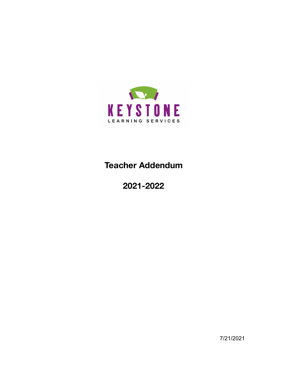

# **Teacher Addendum**

# **2021-2022**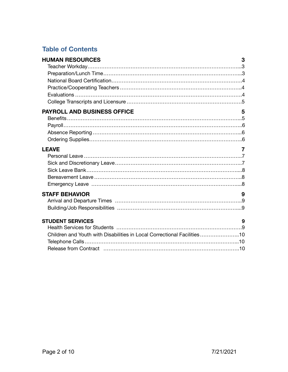# **Table of Contents**

| <b>HUMAN RESOURCES</b>                                                                             | 3 |
|----------------------------------------------------------------------------------------------------|---|
| <b>PAYROLL AND BUSINESS OFFICE</b>                                                                 | 5 |
| <b>LEAVE</b>                                                                                       | 7 |
| <b>STAFF BEHAVIOR</b>                                                                              | 9 |
| <b>STUDENT SERVICES</b><br>Children and Youth with Disabilities in Local Correctional Facilities10 | 9 |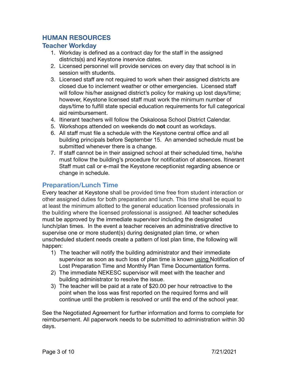# **HUMAN RESOURCES**

#### **Teacher Workday**

- 1. Workday is defined as a contract day for the staff in the assigned districts(s) and Keystone inservice dates.
- 2. Licensed personnel will provide services on every day that school is in session with students.
- 3. Licensed staff are not required to work when their assigned districts are closed due to inclement weather or other emergencies. Licensed staff will follow his/her assigned district's policy for making up lost days/time; however, Keystone licensed staff must work the minimum number of days/time to fulfill state special education requirements for full categorical aid reimbursement.
- 4. Itinerant teachers will follow the Oskaloosa School District Calendar.
- 5. Workshops attended on weekends do **not** count as workdays.
- 6. All staff must file a schedule with the Keystone central office and all building principals before September 15. An amended schedule must be submitted whenever there is a change.
- 7. If staff cannot be in their assigned school at their scheduled time, he/she must follow the building's procedure for notification of absences. Itinerant Staff must call or e-mail the Keystone receptionist regarding absence or change in schedule.

## **Preparation/Lunch Time**

Every teacher at Keystone shall be provided time free from student interaction or other assigned duties for both preparation and lunch. This time shall be equal to at least the minimum allotted to the general education licensed professionals in the building where the licensed professional is assigned. All teacher schedules must be approved by the immediate supervisor including the designated lunch/plan times. In the event a teacher receives an administrative directive to supervise one or more student(s) during designated plan time, or when unscheduled student needs create a pattern of lost plan time, the following will happen:

- 1) The teacher will notify the building administrator and their immediate supervisor as soon as such loss of plan time is known using Notification of Lost Preparation Time and Monthly Plan Time Documentation forms.
- 2) The immediate NEKESC supervisor will meet with the teacher and building administrator to resolve the issue.
- 3) The teacher will be paid at a rate of \$20.00 per hour retroactive to the point when the loss was first reported on the required forms and will continue until the problem is resolved or until the end of the school year.

See the Negotiated Agreement for further information and forms to complete for reimbursement. All paperwork needs to be submitted to administration within 30 days.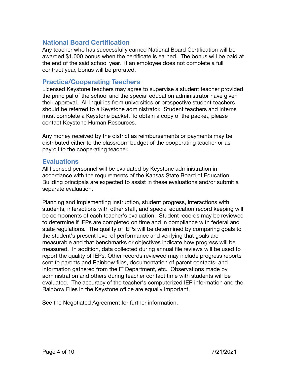## **National Board Certification**

Any teacher who has successfully earned National Board Certification will be awarded \$1,000 bonus when the certificate is earned. The bonus will be paid at the end of the said school year. If an employee does not complete a full contract year, bonus will be prorated.

## **Practice/Cooperating Teachers**

Licensed Keystone teachers may agree to supervise a student teacher provided the principal of the school and the special education administrator have given their approval. All inquiries from universities or prospective student teachers should be referred to a Keystone administrator. Student teachers and interns must complete a Keystone packet. To obtain a copy of the packet, please contact Keystone Human Resources.

Any money received by the district as reimbursements or payments may be distributed either to the classroom budget of the cooperating teacher or as payroll to the cooperating teacher.

#### **Evaluations**

All licensed personnel will be evaluated by Keystone administration in accordance with the requirements of the Kansas State Board of Education. Building principals are expected to assist in these evaluations and/or submit a separate evaluation.

Planning and implementing instruction, student progress, interactions with students, interactions with other staff, and special education record keeping will be components of each teacher's evaluation. Student records may be reviewed to determine if IEPs are completed on time and in compliance with federal and state regulations. The quality of IEPs will be determined by comparing goals to the student's present level of performance and verifying that goals are measurable and that benchmarks or objectives indicate how progress will be measured. In addition, data collected during annual file reviews will be used to report the quality of IEPs. Other records reviewed may include progress reports sent to parents and Rainbow files, documentation of parent contacts, and information gathered from the IT Department, etc. Observations made by administration and others during teacher contact time with students will be evaluated. The accuracy of the teacher's computerized IEP information and the Rainbow Files in the Keystone office are equally important.

See the Negotiated Agreement for further information.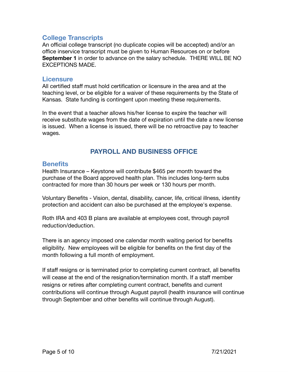## **College Transcripts**

An official college transcript (no duplicate copies will be accepted) and/or an office inservice transcript must be given to Human Resources on or before **September 1** in order to advance on the salary schedule. THERE WILL BE NO EXCEPTIONS MADE.

#### **Licensure**

All certified staff must hold certification or licensure in the area and at the teaching level, or be eligible for a waiver of these requirements by the State of Kansas. State funding is contingent upon meeting these requirements.

In the event that a teacher allows his/her license to expire the teacher will receive substitute wages from the date of expiration until the date a new license is issued. When a license is issued, there will be no retroactive pay to teacher wages.

# **PAYROLL AND BUSINESS OFFICE**

#### **Benefits**

Health Insurance – Keystone will contribute \$465 per month toward the purchase of the Board approved health plan. This includes long-term subs contracted for more than 30 hours per week or 130 hours per month.

Voluntary Benefits - Vision, dental, disability, cancer, life, critical illness, identity protection and accident can also be purchased at the employee's expense.

Roth IRA and 403 B plans are available at employees cost, through payroll reduction/deduction.

There is an agency imposed one calendar month waiting period for benefits eligibility. New employees will be eligible for benefits on the first day of the month following a full month of employment.

If staff resigns or is terminated prior to completing current contract, all benefits will cease at the end of the resignation/termination month. If a staff member resigns or retires after completing current contract, benefits and current contributions will continue through August payroll (health insurance will continue through September and other benefits will continue through August).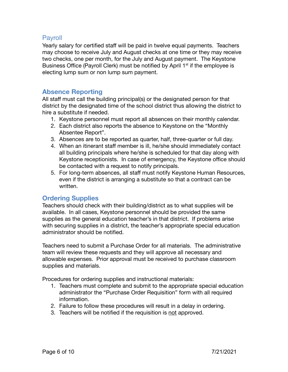## Payroll

Yearly salary for certified staff will be paid in twelve equal payments. Teachers may choose to receive July and August checks at one time or they may receive two checks, one per month, for the July and August payment. The Keystone Business Office (Payroll Clerk) must be notified by April 1<sup>st</sup> if the employee is electing lump sum or non lump sum payment.

## **Absence Reporting**

All staff must call the building principal(s) or the designated person for that district by the designated time of the school district thus allowing the district to hire a substitute if needed.

- 1. Keystone personnel must report all absences on their monthly calendar.
- 2. Each district also reports the absence to Keystone on the "Monthly Absentee Report".
- 3. Absences are to be reported as quarter, half, three-quarter or full day.
- 4. When an itinerant staff member is ill, he/she should immediately contact all building principals where he/she is scheduled for that day along with Keystone receptionists. In case of emergency, the Keystone office should be contacted with a request to notify principals.
- 5. For long-term absences, all staff must notify Keystone Human Resources, even if the district is arranging a substitute so that a contract can be written.

## **Ordering Supplies**

Teachers should check with their building/district as to what supplies will be available. In all cases, Keystone personnel should be provided the same supplies as the general education teacher's in that district. If problems arise with securing supplies in a district, the teacher's appropriate special education administrator should be notified.

Teachers need to submit a Purchase Order for all materials. The administrative team will review these requests and they will approve all necessary and allowable expenses. Prior approval must be received to purchase classroom supplies and materials.

Procedures for ordering supplies and instructional materials:

- 1. Teachers must complete and submit to the appropriate special education administrator the "Purchase Order Requisition" form with all required information.
- 2. Failure to follow these procedures will result in a delay in ordering.
- 3. Teachers will be notified if the requisition is not approved.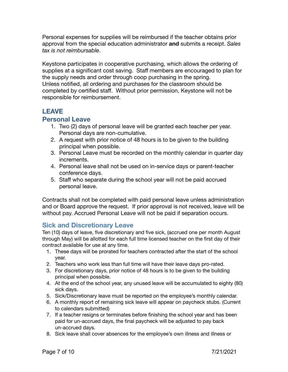Personal expenses for supplies will be reimbursed if the teacher obtains prior approval from the special education administrator **and** submits a receipt. *Sales tax is not reimbursable*.

Keystone participates in cooperative purchasing, which allows the ordering of supplies at a significant cost saving. Staff members are encouraged to plan for the supply needs and order through coop purchasing in the spring. Unless notified, all ordering and purchases for the classroom should be completed by certified staff. Without prior permission, Keystone will not be responsible for reimbursement.

## **LEAVE**

## **Personal Leave**

- 1. Two (2) days of personal leave will be granted each teacher per year. Personal days are non-cumulative.
- 2. A request with prior notice of 48 hours is to be given to the building principal when possible.
- 3. Personal Leave must be recorded on the monthly calendar in quarter day increments.
- 4. Personal leave shall not be used on in-service days or parent-teacher conference days.
- 5. Staff who separate during the school year will not be paid accrued personal leave.

Contracts shall not be completed with paid personal leave unless administration and or Board approve the request. If prior approval is not received, leave will be without pay. Accrued Personal Leave will not be paid if separation occurs.

## **Sick and Discretionary Leave**

Ten (10) days of leave, five discretionary and five sick, (accrued one per month August through May) will be allotted for each full time licensed teacher on the first day of their contract available for use at any time.

- 1. These days will be prorated for teachers contracted after the start of the school year.
- 2. Teachers who work less than full time will have their leave days pro-rated.
- 3. For discretionary days, prior notice of 48 hours is to be given to the building principal when possible.
- 4. At the end of the school year, any unused leave will be accumulated to eighty (80) sick days.
- 5. Sick/Discretionary leave must be reported on the employee's monthly calendar.
- 6. A monthly report of remaining sick leave will appear on paycheck stubs. (Current to calendars submitted)
- 7. If a teacher resigns or terminates before finishing the school year and has been paid for un-accrued days, the final paycheck will be adjusted to pay back un-accrued days.
- 8. Sick leave shall cover absences for the employee's own illness and illness or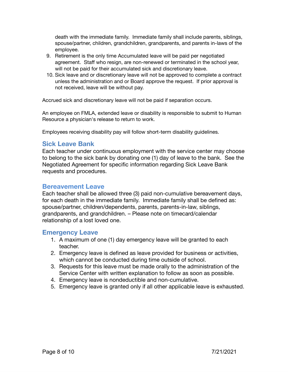death with the immediate family. Immediate family shall include parents, siblings, spouse/partner, children, grandchildren, grandparents, and parents in-laws of the employee.

- 9. Retirement is the only time Accumulated leave will be paid per negotiated agreement. Staff who resign, are non-renewed or terminated in the school year, will not be paid for their accumulated sick and discretionary leave.
- 10. Sick leave and or discretionary leave will not be approved to complete a contract unless the administration and or Board approve the request. If prior approval is not received, leave will be without pay.

Accrued sick and discretionary leave will not be paid if separation occurs.

An employee on FMLA, extended leave or disability is responsible to submit to Human Resource a physician's release to return to work.

Employees receiving disability pay will follow short-term disability guidelines.

#### **Sick Leave Bank**

Each teacher under continuous employment with the service center may choose to belong to the sick bank by donating one (1) day of leave to the bank. See the Negotiated Agreement for specific information regarding Sick Leave Bank requests and procedures.

#### **Bereavement Leave**

Each teacher shall be allowed three (3) paid non-cumulative bereavement days, for each death in the immediate family. Immediate family shall be defined as: spouse/partner, children/dependents, parents, parents-in-law, siblings, grandparents, and grandchildren. – Please note on timecard/calendar relationship of a lost loved one.

#### **Emergency Leave**

- 1. A maximum of one (1) day emergency leave will be granted to each teacher.
- 2. Emergency leave is defined as leave provided for business or activities, which cannot be conducted during time outside of school.
- 3. Requests for this leave must be made orally to the administration of the Service Center with written explanation to follow as soon as possible.
- 4. Emergency leave is nondeductible and non-cumulative.
- 5. Emergency leave is granted only if all other applicable leave is exhausted.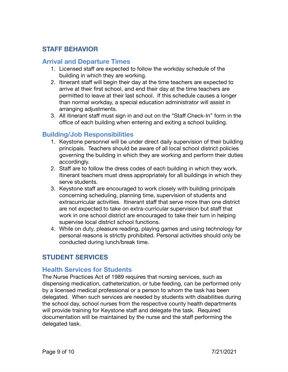# **STAFF BEHAVIOR**

## **Arrival and Departure Times**

- 1. Licensed staff are expected to follow the workday schedule of the building in which they are working.
- 2. Itinerant staff will begin their day at the time teachers are expected to arrive at their first school, and end their day at the time teachers are permitted to leave at their last school. If this schedule causes a longer than normal workday, a special education administrator will assist in arranging adjustments.
- 3. All itinerant staff must sign in and out on the "Staff Check-In" form in the office of each building when entering and exiting a school building.

## **Building/Job Responsibilities**

- 1. Keystone personnel will be under direct daily supervision of their building principals. Teachers should be aware of all local school district policies governing the building in which they are working and perform their duties accordingly.
- 2. Staff are to follow the dress codes of each building in which they work. Itinerant teachers must dress appropriately for all buildings in which they serve students.
- 3. Keystone staff are encouraged to work closely with building principals concerning scheduling, planning time, supervision of students and extracurricular activities. Itinerant staff that serve more than one district are not expected to take on extra-curricular supervision but staff that work in one school district are encouraged to take their turn in helping supervise local district school functions.
- 4. While on duty, pleasure reading, playing games and using technology for personal reasons is strictly prohibited. Personal activities should only be conducted during lunch/break time.

# **STUDENT SERVICES**

## **Health Services for Students**

The Nurse Practices Act of 1989 requires that nursing services, such as dispensing medication, catheterization, or tube feeding, can be performed only by a licensed medical professional or a person to whom the task has been delegated. When such services are needed by students with disabilities during the school day, school nurses from the respective county health departments will provide training for Keystone staff and delegate the task. Required documentation will be maintained by the nurse and the staff performing the delegated task.